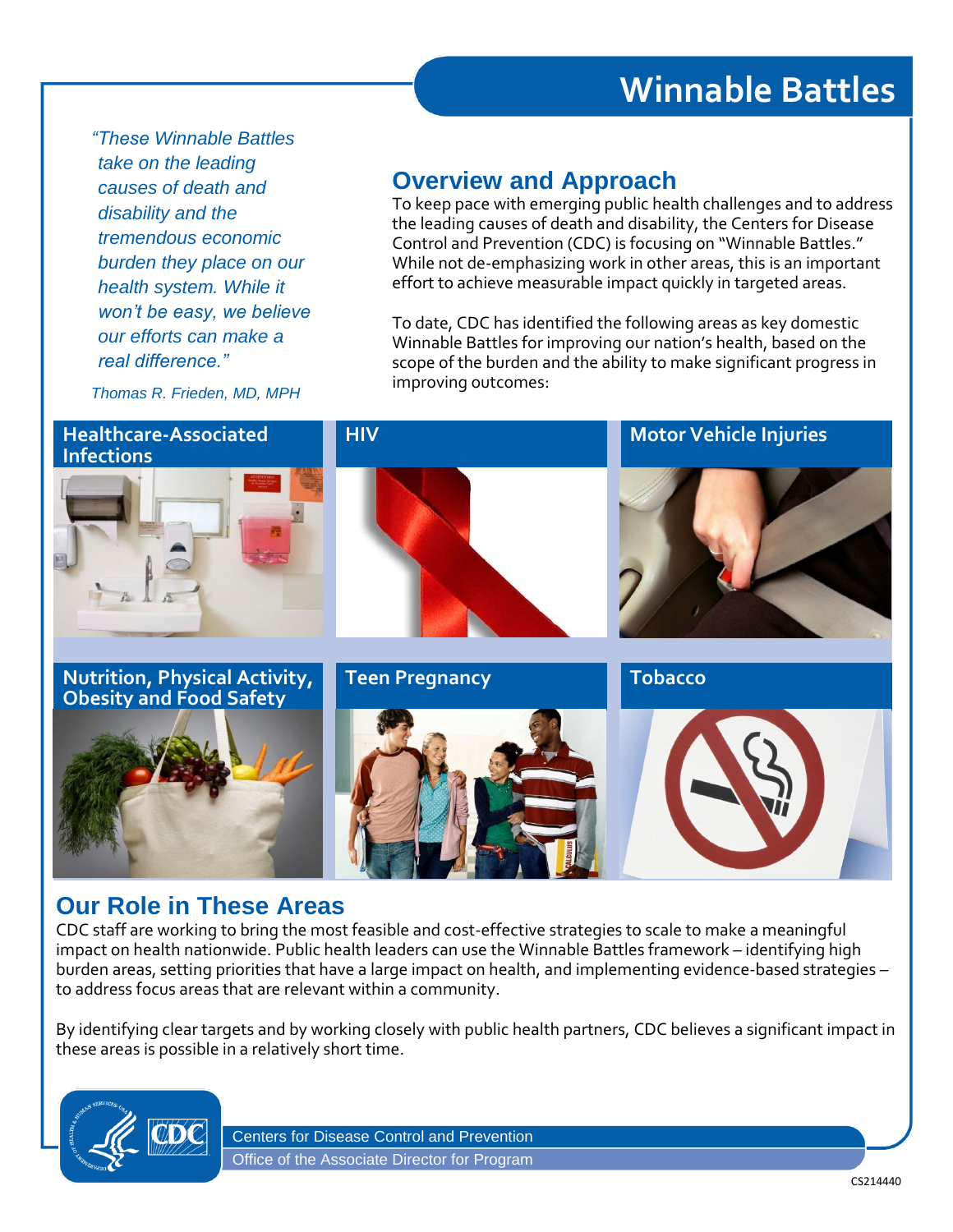## **Winnable Battles**

*"These Winnable Battles take on the leading causes of death and disability and the tremendous economic burden they place on our health system. While it won't be easy, we believe our efforts can make a real difference."*

*Thomas R. Frieden, MD, MPH* 

#### **Overview and Approach**

To keep pace with emerging public health challenges and to address the leading causes of death and disability, the Centers for Disease Control and Prevention (CDC) is focusing on "Winnable Battles." While not de-emphasizing work in other areas, this is an important effort to achieve measurable impact quickly in targeted areas.

To date, CDC has identified the following areas as key domestic Winnable Battles for improving our nation's health, based on the scope of the burden and the ability to make significant progress in improving outcomes:



#### **Our Role in These Areas**

CDC staff are working to bring the most feasible and cost-effective strategies to scale to make a meaningful impact on health nationwide. Public health leaders can use the Winnable Battles framework – identifying high burden areas, setting priorities that have a large impact on health, and implementing evidence-based strategies – to address focus areas that are relevant within a community.

By identifying clear targets and by working closely with public health partners, CDC believes a significant impact in these areas is possible in a relatively short time.



Centers for Disease Control and Prevention Office of the Associate Director for Program